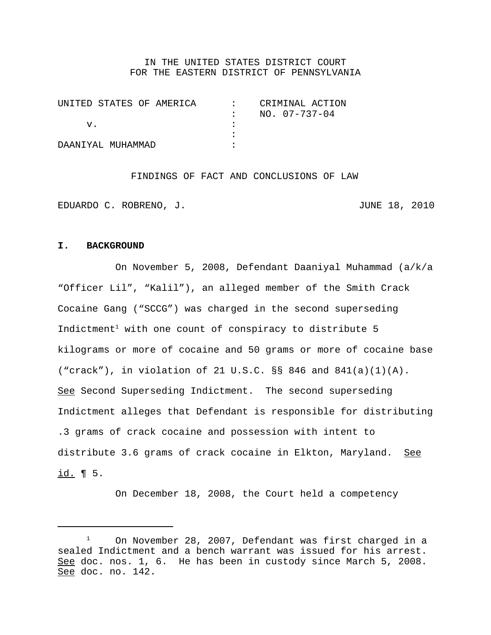### IN THE UNITED STATES DISTRICT COURT FOR THE EASTERN DISTRICT OF PENNSYLVANIA

| UNITED STATES OF AMERICA | CRIMINAL ACTION |
|--------------------------|-----------------|
|                          | NO. 07-737-04   |
| v.                       |                 |
|                          |                 |
| DAANTYAL MUHAMMAD        |                 |

FINDINGS OF FACT AND CONCLUSIONS OF LAW

EDUARDO C. ROBRENO, J. JUNE 18, 2010

#### **I. BACKGROUND**

On November 5, 2008, Defendant Daaniyal Muhammad (a/k/a "Officer Lil", "Kalil"), an alleged member of the Smith Crack Cocaine Gang ("SCCG") was charged in the second superseding Indictment<sup>1</sup> with one count of conspiracy to distribute  $5$ kilograms or more of cocaine and 50 grams or more of cocaine base ("crack"), in violation of 21 U.S.C. §§ 846 and 841(a)(1)(A). See Second Superseding Indictment. The second superseding Indictment alleges that Defendant is responsible for distributing .3 grams of crack cocaine and possession with intent to distribute 3.6 grams of crack cocaine in Elkton, Maryland. See id. ¶ 5.

On December 18, 2008, the Court held a competency

 $1$  On November 28, 2007, Defendant was first charged in a sealed Indictment and a bench warrant was issued for his arrest. See doc. nos. 1, 6. He has been in custody since March 5, 2008. See doc. no. 142.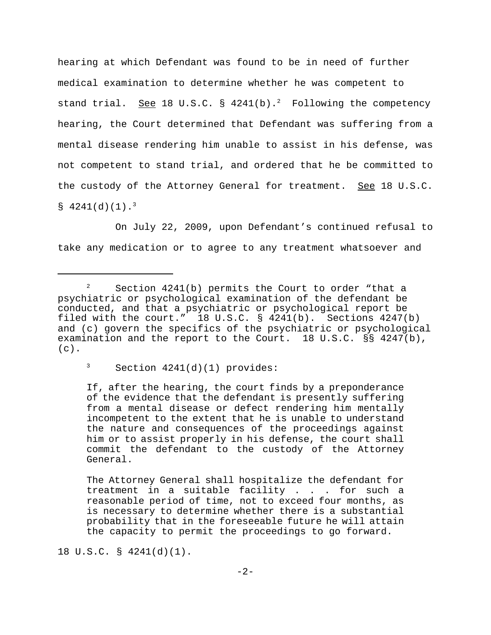hearing at which Defendant was found to be in need of further medical examination to determine whether he was competent to stand trial. See 18 U.S.C. §  $4241(b)$ . Following the competency hearing, the Court determined that Defendant was suffering from a mental disease rendering him unable to assist in his defense, was not competent to stand trial, and ordered that he be committed to the custody of the Attorney General for treatment. See 18 U.S.C.  $$4241(d)(1).$ <sup>3</sup>

On July 22, 2009, upon Defendant's continued refusal to take any medication or to agree to any treatment whatsoever and

 $3$  Section 4241(d)(1) provides:

If, after the hearing, the court finds by a preponderance of the evidence that the defendant is presently suffering from a mental disease or defect rendering him mentally incompetent to the extent that he is unable to understand the nature and consequences of the proceedings against him or to assist properly in his defense, the court shall commit the defendant to the custody of the Attorney General.

The Attorney General shall hospitalize the defendant for treatment in a suitable facility . . . for such a reasonable period of time, not to exceed four months, as is necessary to determine whether there is a substantial probability that in the foreseeable future he will attain the capacity to permit the proceedings to go forward.

18 U.S.C. § 4241(d)(1).

<sup>&</sup>lt;sup>2</sup> Section 4241(b) permits the Court to order "that a psychiatric or psychological examination of the defendant be conducted, and that a psychiatric or psychological report be filed with the court."  $18 \text{ U.S.C. }$  \$  $4241(b)$ . Sections  $4247(b)$ and (c) govern the specifics of the psychiatric or psychological examination and the report to the Court. 18 U.S.C. §§ 4247(b),  $(c)$ .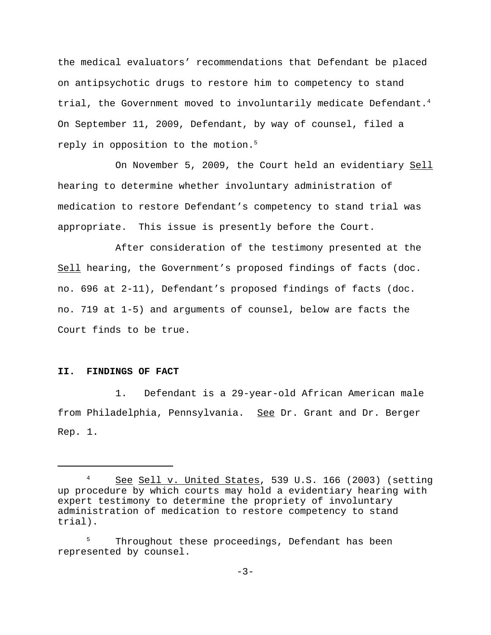the medical evaluators' recommendations that Defendant be placed on antipsychotic drugs to restore him to competency to stand trial, the Government moved to involuntarily medicate Defendant.<sup>4</sup> On September 11, 2009, Defendant, by way of counsel, filed a reply in opposition to the motion.<sup>5</sup>

On November 5, 2009, the Court held an evidentiary Sell hearing to determine whether involuntary administration of medication to restore Defendant's competency to stand trial was appropriate. This issue is presently before the Court.

After consideration of the testimony presented at the Sell hearing, the Government's proposed findings of facts (doc. no. 696 at 2-11), Defendant's proposed findings of facts (doc. no. 719 at 1-5) and arguments of counsel, below are facts the Court finds to be true.

# **II. FINDINGS OF FACT**

1. Defendant is a 29-year-old African American male from Philadelphia, Pennsylvania. See Dr. Grant and Dr. Berger Rep. 1.

<sup>&</sup>lt;sup>4</sup> See Sell v. United States, 539 U.S. 166 (2003) (setting up procedure by which courts may hold a evidentiary hearing with expert testimony to determine the propriety of involuntary administration of medication to restore competency to stand trial).

Throughout these proceedings, Defendant has been represented by counsel.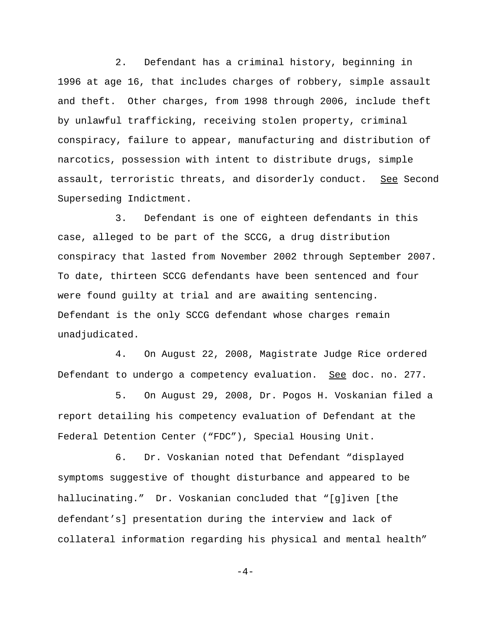2. Defendant has a criminal history, beginning in 1996 at age 16, that includes charges of robbery, simple assault and theft. Other charges, from 1998 through 2006, include theft by unlawful trafficking, receiving stolen property, criminal conspiracy, failure to appear, manufacturing and distribution of narcotics, possession with intent to distribute drugs, simple assault, terroristic threats, and disorderly conduct. See Second Superseding Indictment.

3. Defendant is one of eighteen defendants in this case, alleged to be part of the SCCG, a drug distribution conspiracy that lasted from November 2002 through September 2007. To date, thirteen SCCG defendants have been sentenced and four were found guilty at trial and are awaiting sentencing. Defendant is the only SCCG defendant whose charges remain unadjudicated.

4. On August 22, 2008, Magistrate Judge Rice ordered Defendant to undergo a competency evaluation. See doc. no. 277.

5. On August 29, 2008, Dr. Pogos H. Voskanian filed a report detailing his competency evaluation of Defendant at the Federal Detention Center ("FDC"), Special Housing Unit.

6. Dr. Voskanian noted that Defendant "displayed symptoms suggestive of thought disturbance and appeared to be hallucinating." Dr. Voskanian concluded that "[g]iven [the defendant's] presentation during the interview and lack of collateral information regarding his physical and mental health"

 $-4-$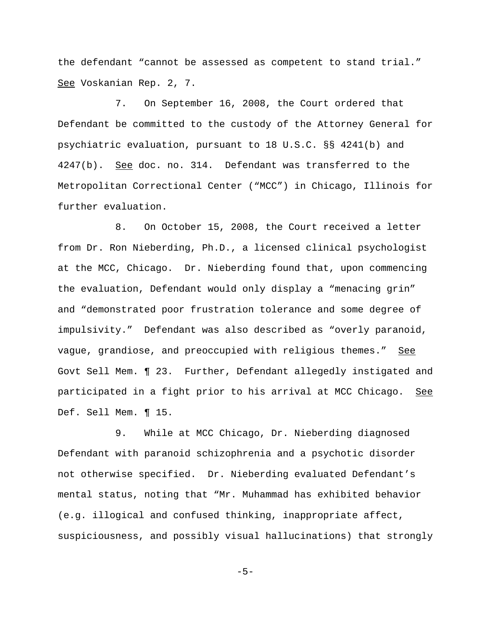the defendant "cannot be assessed as competent to stand trial." See Voskanian Rep. 2, 7.

7. On September 16, 2008, the Court ordered that Defendant be committed to the custody of the Attorney General for psychiatric evaluation, pursuant to 18 U.S.C. §§ 4241(b) and 4247(b). See doc. no. 314. Defendant was transferred to the Metropolitan Correctional Center ("MCC") in Chicago, Illinois for further evaluation.

8. On October 15, 2008, the Court received a letter from Dr. Ron Nieberding, Ph.D., a licensed clinical psychologist at the MCC, Chicago. Dr. Nieberding found that, upon commencing the evaluation, Defendant would only display a "menacing grin" and "demonstrated poor frustration tolerance and some degree of impulsivity." Defendant was also described as "overly paranoid, vague, grandiose, and preoccupied with religious themes." See Govt Sell Mem. ¶ 23. Further, Defendant allegedly instigated and participated in a fight prior to his arrival at MCC Chicago. See Def. Sell Mem. ¶ 15.

9. While at MCC Chicago, Dr. Nieberding diagnosed Defendant with paranoid schizophrenia and a psychotic disorder not otherwise specified. Dr. Nieberding evaluated Defendant's mental status, noting that "Mr. Muhammad has exhibited behavior (e.g. illogical and confused thinking, inappropriate affect, suspiciousness, and possibly visual hallucinations) that strongly

-5-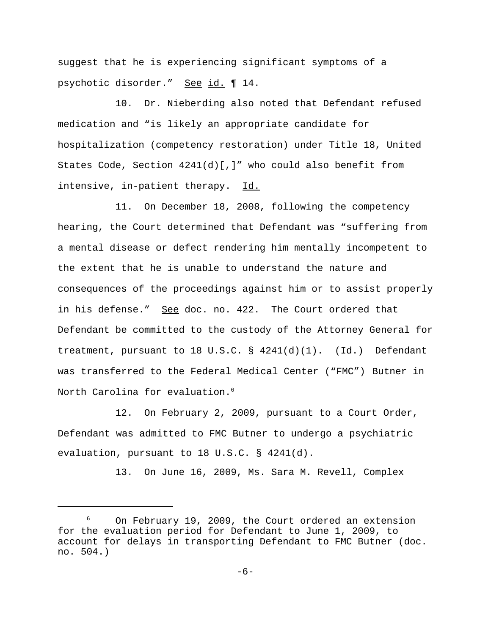suggest that he is experiencing significant symptoms of a psychotic disorder." See id. ¶ 14.

10. Dr. Nieberding also noted that Defendant refused medication and "is likely an appropriate candidate for hospitalization (competency restoration) under Title 18, United States Code, Section 4241(d)[,]" who could also benefit from intensive, in-patient therapy. Id.

11. On December 18, 2008, following the competency hearing, the Court determined that Defendant was "suffering from a mental disease or defect rendering him mentally incompetent to the extent that he is unable to understand the nature and consequences of the proceedings against him or to assist properly in his defense." See doc. no. 422. The Court ordered that Defendant be committed to the custody of the Attorney General for treatment, pursuant to 18 U.S.C.  $\S$  4241(d)(1). (Id.) Defendant was transferred to the Federal Medical Center ("FMC") Butner in North Carolina for evaluation.<sup>6</sup>

12. On February 2, 2009, pursuant to a Court Order, Defendant was admitted to FMC Butner to undergo a psychiatric evaluation, pursuant to 18 U.S.C. § 4241(d).

13. On June 16, 2009, Ms. Sara M. Revell, Complex

<sup>6</sup> On February 19, 2009, the Court ordered an extension for the evaluation period for Defendant to June 1, 2009, to account for delays in transporting Defendant to FMC Butner (doc. no. 504.)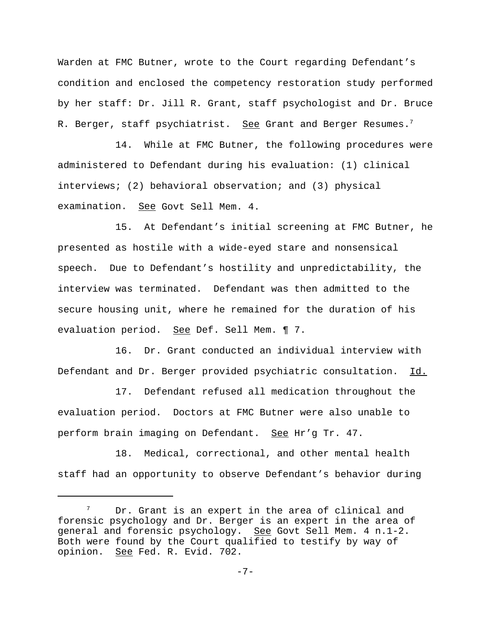Warden at FMC Butner, wrote to the Court regarding Defendant's condition and enclosed the competency restoration study performed by her staff: Dr. Jill R. Grant, staff psychologist and Dr. Bruce R. Berger, staff psychiatrist. See Grant and Berger Resumes.<sup>7</sup>

14. While at FMC Butner, the following procedures were administered to Defendant during his evaluation: (1) clinical interviews; (2) behavioral observation; and (3) physical examination. See Govt Sell Mem. 4.

15. At Defendant's initial screening at FMC Butner, he presented as hostile with a wide-eyed stare and nonsensical speech. Due to Defendant's hostility and unpredictability, the interview was terminated. Defendant was then admitted to the secure housing unit, where he remained for the duration of his evaluation period. See Def. Sell Mem. ¶ 7.

16. Dr. Grant conducted an individual interview with Defendant and Dr. Berger provided psychiatric consultation. Id.

17. Defendant refused all medication throughout the evaluation period. Doctors at FMC Butner were also unable to perform brain imaging on Defendant. See Hr'g Tr. 47.

18. Medical, correctional, and other mental health staff had an opportunity to observe Defendant's behavior during

 $7$  Dr. Grant is an expert in the area of clinical and forensic psychology and Dr. Berger is an expert in the area of general and forensic psychology. See Govt Sell Mem. 4 n.1-2. Both were found by the Court qualified to testify by way of opinion. See Fed. R. Evid. 702.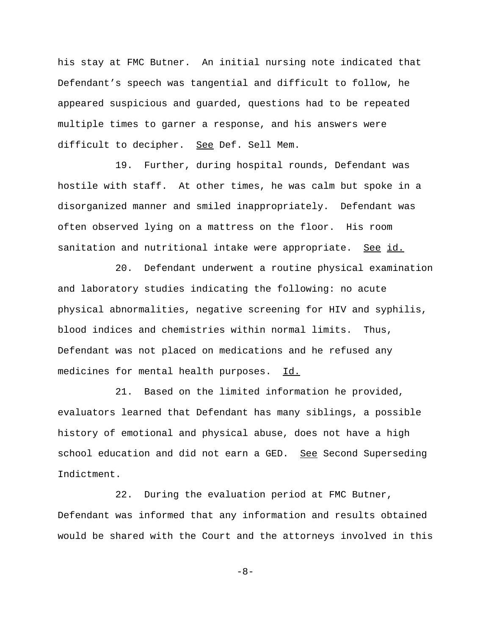his stay at FMC Butner. An initial nursing note indicated that Defendant's speech was tangential and difficult to follow, he appeared suspicious and guarded, questions had to be repeated multiple times to garner a response, and his answers were difficult to decipher. See Def. Sell Mem.

19. Further, during hospital rounds, Defendant was hostile with staff. At other times, he was calm but spoke in a disorganized manner and smiled inappropriately. Defendant was often observed lying on a mattress on the floor. His room sanitation and nutritional intake were appropriate. See id.

20. Defendant underwent a routine physical examination and laboratory studies indicating the following: no acute physical abnormalities, negative screening for HIV and syphilis, blood indices and chemistries within normal limits. Thus, Defendant was not placed on medications and he refused any medicines for mental health purposes. Id.

21. Based on the limited information he provided, evaluators learned that Defendant has many siblings, a possible history of emotional and physical abuse, does not have a high school education and did not earn a GED. See Second Superseding Indictment.

22. During the evaluation period at FMC Butner, Defendant was informed that any information and results obtained would be shared with the Court and the attorneys involved in this

-8-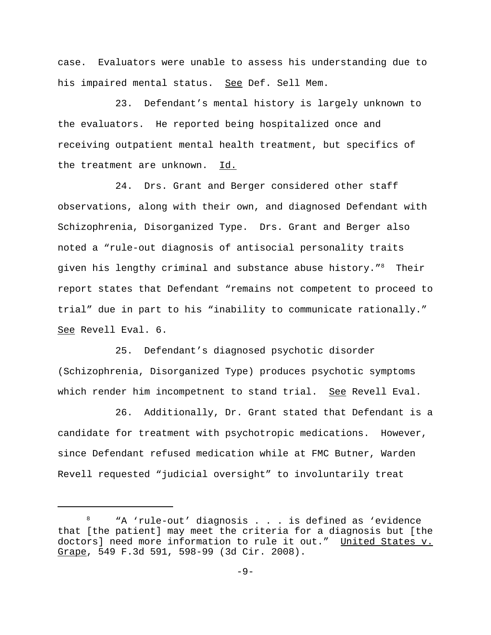case. Evaluators were unable to assess his understanding due to his impaired mental status. See Def. Sell Mem.

23. Defendant's mental history is largely unknown to the evaluators. He reported being hospitalized once and receiving outpatient mental health treatment, but specifics of the treatment are unknown. Id.

24. Drs. Grant and Berger considered other staff observations, along with their own, and diagnosed Defendant with Schizophrenia, Disorganized Type. Drs. Grant and Berger also noted a "rule-out diagnosis of antisocial personality traits given his lengthy criminal and substance abuse history."8 Their report states that Defendant "remains not competent to proceed to trial" due in part to his "inability to communicate rationally." See Revell Eval. 6.

25. Defendant's diagnosed psychotic disorder (Schizophrenia, Disorganized Type) produces psychotic symptoms which render him incompetnent to stand trial. See Revell Eval.

26. Additionally, Dr. Grant stated that Defendant is a candidate for treatment with psychotropic medications. However, since Defendant refused medication while at FMC Butner, Warden Revell requested "judicial oversight" to involuntarily treat

<sup>8 &</sup>quot;A 'rule-out' diagnosis . . . is defined as 'evidence that [the patient] may meet the criteria for a diagnosis but [the doctors] need more information to rule it out." United States v. Grape, 549 F.3d 591, 598-99 (3d Cir. 2008).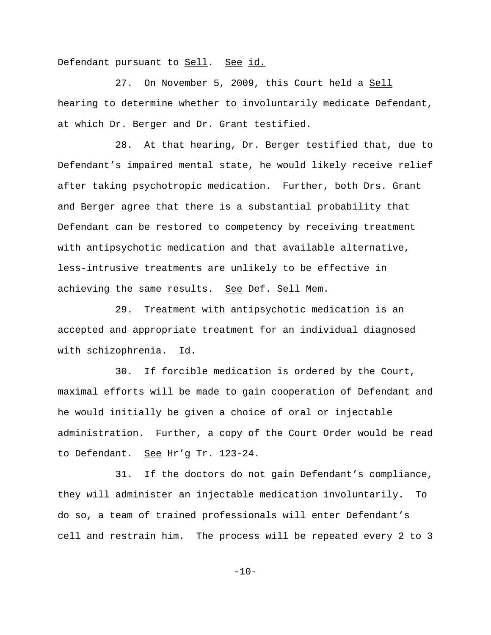Defendant pursuant to Sell. See id.

27. On November 5, 2009, this Court held a Sell hearing to determine whether to involuntarily medicate Defendant, at which Dr. Berger and Dr. Grant testified.

28. At that hearing, Dr. Berger testified that, due to Defendant's impaired mental state, he would likely receive relief after taking psychotropic medication. Further, both Drs. Grant and Berger agree that there is a substantial probability that Defendant can be restored to competency by receiving treatment with antipsychotic medication and that available alternative, less-intrusive treatments are unlikely to be effective in achieving the same results. See Def. Sell Mem.

29. Treatment with antipsychotic medication is an accepted and appropriate treatment for an individual diagnosed with schizophrenia. Id.

30. If forcible medication is ordered by the Court, maximal efforts will be made to gain cooperation of Defendant and he would initially be given a choice of oral or injectable administration. Further, a copy of the Court Order would be read to Defendant. See Hr'g Tr. 123-24.

31. If the doctors do not gain Defendant's compliance, they will administer an injectable medication involuntarily. To do so, a team of trained professionals will enter Defendant's cell and restrain him. The process will be repeated every 2 to 3

 $-10-$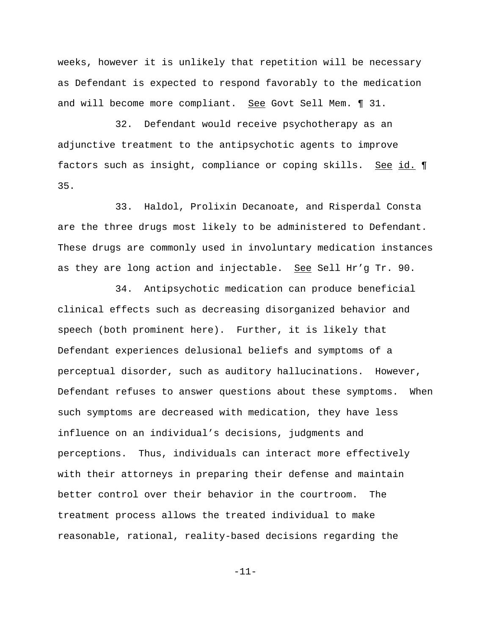weeks, however it is unlikely that repetition will be necessary as Defendant is expected to respond favorably to the medication and will become more compliant. See Govt Sell Mem. 1 31.

32. Defendant would receive psychotherapy as an adjunctive treatment to the antipsychotic agents to improve factors such as insight, compliance or coping skills. See id. 1 35.

33. Haldol, Prolixin Decanoate, and Risperdal Consta are the three drugs most likely to be administered to Defendant. These drugs are commonly used in involuntary medication instances as they are long action and injectable. See Sell Hr'g Tr. 90.

34. Antipsychotic medication can produce beneficial clinical effects such as decreasing disorganized behavior and speech (both prominent here). Further, it is likely that Defendant experiences delusional beliefs and symptoms of a perceptual disorder, such as auditory hallucinations. However, Defendant refuses to answer questions about these symptoms. When such symptoms are decreased with medication, they have less influence on an individual's decisions, judgments and perceptions. Thus, individuals can interact more effectively with their attorneys in preparing their defense and maintain better control over their behavior in the courtroom. The treatment process allows the treated individual to make reasonable, rational, reality-based decisions regarding the

-11-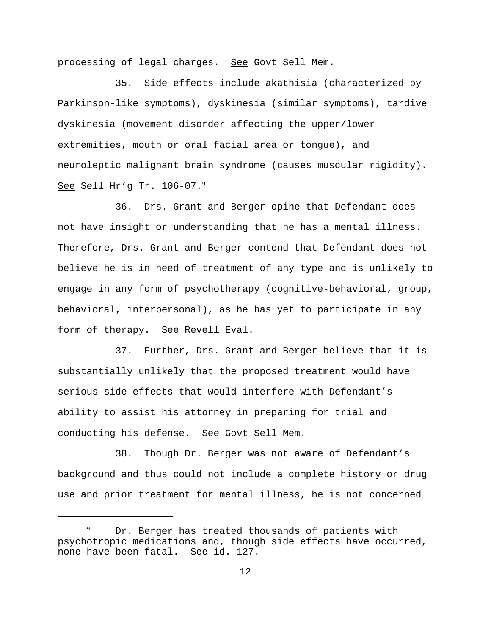processing of legal charges. See Govt Sell Mem.

35. Side effects include akathisia (characterized by Parkinson-like symptoms), dyskinesia (similar symptoms), tardive dyskinesia (movement disorder affecting the upper/lower extremities, mouth or oral facial area or tongue), and neuroleptic malignant brain syndrome (causes muscular rigidity). See Sell Hr'g Tr. 106-07.9

36. Drs. Grant and Berger opine that Defendant does not have insight or understanding that he has a mental illness. Therefore, Drs. Grant and Berger contend that Defendant does not believe he is in need of treatment of any type and is unlikely to engage in any form of psychotherapy (cognitive-behavioral, group, behavioral, interpersonal), as he has yet to participate in any form of therapy. See Revell Eval.

37. Further, Drs. Grant and Berger believe that it is substantially unlikely that the proposed treatment would have serious side effects that would interfere with Defendant's ability to assist his attorney in preparing for trial and conducting his defense. See Govt Sell Mem.

38. Though Dr. Berger was not aware of Defendant's background and thus could not include a complete history or drug use and prior treatment for mental illness, he is not concerned

Dr. Berger has treated thousands of patients with psychotropic medications and, though side effects have occurred, none have been fatal. See id. 127.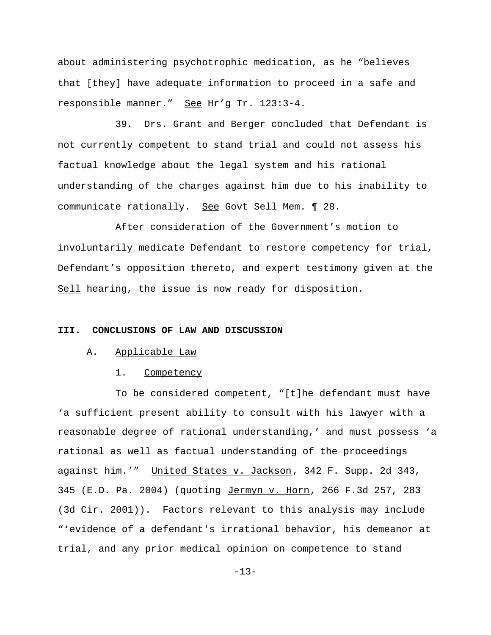about administering psychotrophic medication, as he "believes that [they] have adequate information to proceed in a safe and responsible manner." See Hr'g Tr. 123:3-4.

39. Drs. Grant and Berger concluded that Defendant is not currently competent to stand trial and could not assess his factual knowledge about the legal system and his rational understanding of the charges against him due to his inability to communicate rationally. See Govt Sell Mem. ¶ 28.

After consideration of the Government's motion to involuntarily medicate Defendant to restore competency for trial, Defendant's opposition thereto, and expert testimony given at the Sell hearing, the issue is now ready for disposition.

# **III. CONCLUSIONS OF LAW AND DISCUSSION**

### A. Applicable Law

#### 1. Competency

To be considered competent, "[t]he defendant must have 'a sufficient present ability to consult with his lawyer with a reasonable degree of rational understanding,' and must possess 'a rational as well as factual understanding of the proceedings against him.'" United States v. Jackson, 342 F. Supp. 2d 343, 345 (E.D. Pa. 2004) (quoting Jermyn v. Horn, 266 F.3d 257, 283 (3d Cir. 2001)). Factors relevant to this analysis may include "'evidence of a defendant's irrational behavior, his demeanor at trial, and any prior medical opinion on competence to stand

-13-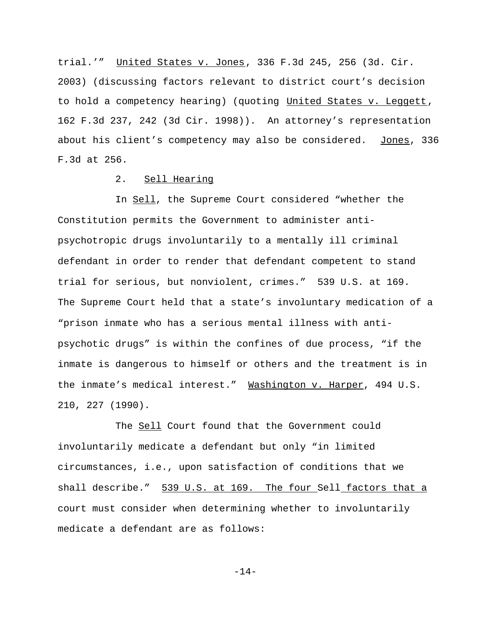trial.'" United States v. Jones, 336 F.3d 245, 256 (3d. Cir. 2003) (discussing factors relevant to district court's decision to hold a competency hearing) (quoting United States v. Leggett, 162 F.3d 237, 242 (3d Cir. 1998)). An attorney's representation about his client's competency may also be considered. Jones, 336 F.3d at 256.

### 2. Sell Hearing

In Sell, the Supreme Court considered "whether the Constitution permits the Government to administer antipsychotropic drugs involuntarily to a mentally ill criminal defendant in order to render that defendant competent to stand trial for serious, but nonviolent, crimes." 539 U.S. at 169. The Supreme Court held that a state's involuntary medication of a "prison inmate who has a serious mental illness with antipsychotic drugs" is within the confines of due process, "if the inmate is dangerous to himself or others and the treatment is in the inmate's medical interest." Washington v. Harper, 494 U.S. 210, 227 (1990).

The Sell Court found that the Government could involuntarily medicate a defendant but only "in limited circumstances, i.e., upon satisfaction of conditions that we shall describe." 539 U.S. at 169. The four Sell factors that a court must consider when determining whether to involuntarily medicate a defendant are as follows:

-14-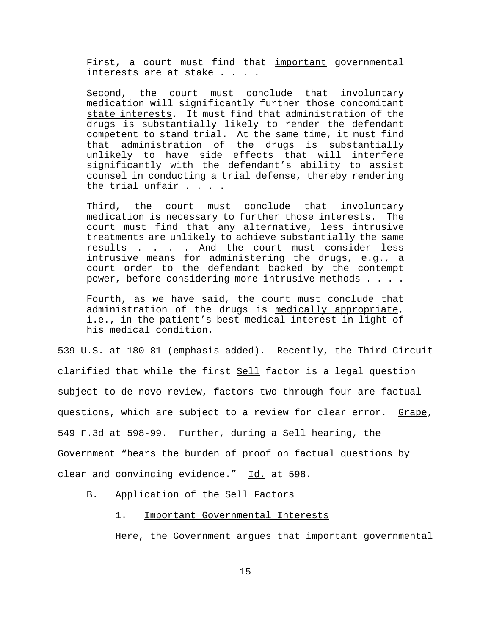First, a court must find that important governmental interests are at stake . . . .

Second, the court must conclude that involuntary medication will significantly further those concomitant state interests. It must find that administration of the drugs is substantially likely to render the defendant competent to stand trial. At the same time, it must find that administration of the drugs is substantially unlikely to have side effects that will interfere significantly with the defendant's ability to assist counsel in conducting a trial defense, thereby rendering the trial unfair . . . .

Third, the court must conclude that involuntary medication is necessary to further those interests. The court must find that any alternative, less intrusive treatments are unlikely to achieve substantially the same results . . . . And the court must consider less intrusive means for administering the drugs, e.g., a court order to the defendant backed by the contempt power, before considering more intrusive methods . . . .

Fourth, as we have said, the court must conclude that administration of the drugs is medically appropriate, i.e., in the patient's best medical interest in light of his medical condition.

539 U.S. at 180-81 (emphasis added). Recently, the Third Circuit clarified that while the first Sell factor is a legal question subject to de novo review, factors two through four are factual questions, which are subject to a review for clear error. Grape, 549 F.3d at 598-99. Further, during a Sell hearing, the Government "bears the burden of proof on factual questions by clear and convincing evidence." Id. at 598.

#### B. Application of the Sell Factors

#### 1. Important Governmental Interests

Here, the Government argues that important governmental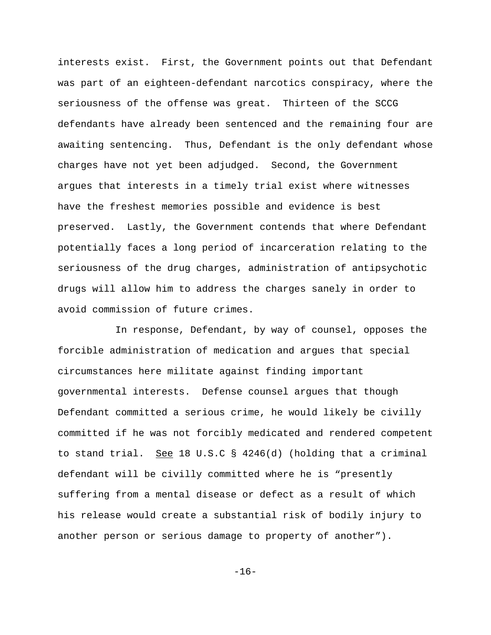interests exist. First, the Government points out that Defendant was part of an eighteen-defendant narcotics conspiracy, where the seriousness of the offense was great. Thirteen of the SCCG defendants have already been sentenced and the remaining four are awaiting sentencing. Thus, Defendant is the only defendant whose charges have not yet been adjudged. Second, the Government argues that interests in a timely trial exist where witnesses have the freshest memories possible and evidence is best preserved. Lastly, the Government contends that where Defendant potentially faces a long period of incarceration relating to the seriousness of the drug charges, administration of antipsychotic drugs will allow him to address the charges sanely in order to avoid commission of future crimes.

In response, Defendant, by way of counsel, opposes the forcible administration of medication and argues that special circumstances here militate against finding important governmental interests. Defense counsel argues that though Defendant committed a serious crime, he would likely be civilly committed if he was not forcibly medicated and rendered competent to stand trial. See 18 U.S.C § 4246(d) (holding that a criminal defendant will be civilly committed where he is "presently suffering from a mental disease or defect as a result of which his release would create a substantial risk of bodily injury to another person or serious damage to property of another").

-16-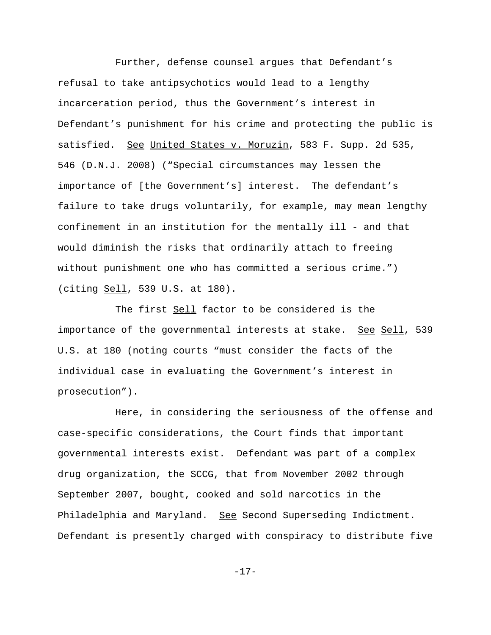Further, defense counsel argues that Defendant's refusal to take antipsychotics would lead to a lengthy incarceration period, thus the Government's interest in Defendant's punishment for his crime and protecting the public is satisfied. See United States v. Moruzin, 583 F. Supp. 2d 535, 546 (D.N.J. 2008) ("Special circumstances may lessen the importance of [the Government's] interest. The defendant's failure to take drugs voluntarily, for example, may mean lengthy confinement in an institution for the mentally ill - and that would diminish the risks that ordinarily attach to freeing without punishment one who has committed a serious crime.") (citing Sell, 539 U.S. at 180).

The first Sell factor to be considered is the importance of the governmental interests at stake. See Sell, 539 U.S. at 180 (noting courts "must consider the facts of the individual case in evaluating the Government's interest in prosecution").

Here, in considering the seriousness of the offense and case-specific considerations, the Court finds that important governmental interests exist. Defendant was part of a complex drug organization, the SCCG, that from November 2002 through September 2007, bought, cooked and sold narcotics in the Philadelphia and Maryland. See Second Superseding Indictment. Defendant is presently charged with conspiracy to distribute five

-17-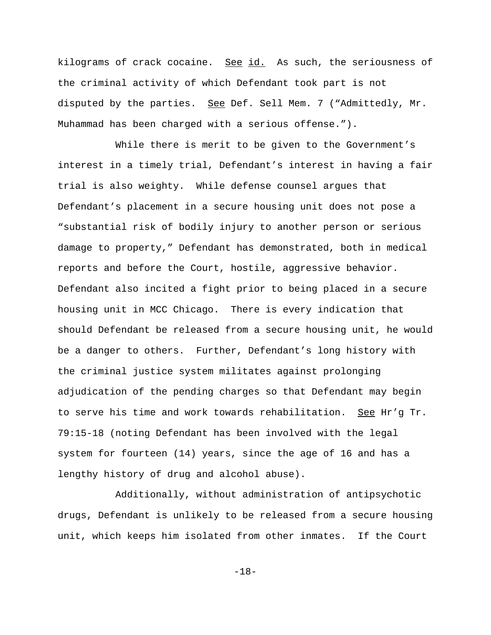kilograms of crack cocaine. See id. As such, the seriousness of the criminal activity of which Defendant took part is not disputed by the parties. See Def. Sell Mem. 7 ("Admittedly, Mr. Muhammad has been charged with a serious offense.").

While there is merit to be given to the Government's interest in a timely trial, Defendant's interest in having a fair trial is also weighty. While defense counsel argues that Defendant's placement in a secure housing unit does not pose a "substantial risk of bodily injury to another person or serious damage to property," Defendant has demonstrated, both in medical reports and before the Court, hostile, aggressive behavior. Defendant also incited a fight prior to being placed in a secure housing unit in MCC Chicago. There is every indication that should Defendant be released from a secure housing unit, he would be a danger to others. Further, Defendant's long history with the criminal justice system militates against prolonging adjudication of the pending charges so that Defendant may begin to serve his time and work towards rehabilitation. See Hr'g Tr. 79:15-18 (noting Defendant has been involved with the legal system for fourteen (14) years, since the age of 16 and has a lengthy history of drug and alcohol abuse).

Additionally, without administration of antipsychotic drugs, Defendant is unlikely to be released from a secure housing unit, which keeps him isolated from other inmates. If the Court

-18-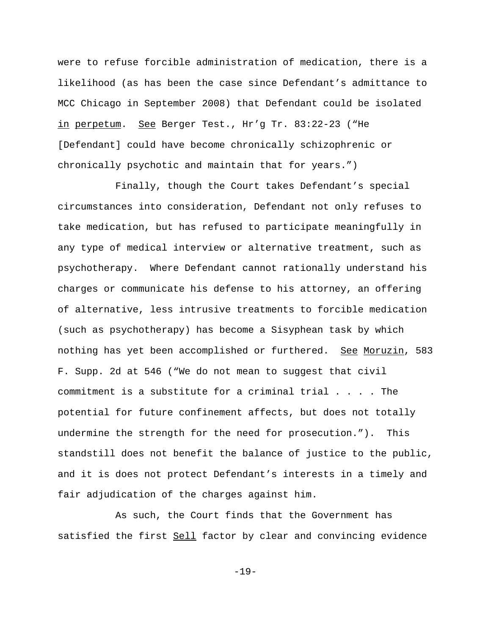were to refuse forcible administration of medication, there is a likelihood (as has been the case since Defendant's admittance to MCC Chicago in September 2008) that Defendant could be isolated in perpetum. See Berger Test., Hr'g Tr. 83:22-23 ("He [Defendant] could have become chronically schizophrenic or chronically psychotic and maintain that for years.")

Finally, though the Court takes Defendant's special circumstances into consideration, Defendant not only refuses to take medication, but has refused to participate meaningfully in any type of medical interview or alternative treatment, such as psychotherapy. Where Defendant cannot rationally understand his charges or communicate his defense to his attorney, an offering of alternative, less intrusive treatments to forcible medication (such as psychotherapy) has become a Sisyphean task by which nothing has yet been accomplished or furthered. See Moruzin, 583 F. Supp. 2d at 546 ("We do not mean to suggest that civil commitment is a substitute for a criminal trial  $\ldots$ . The potential for future confinement affects, but does not totally undermine the strength for the need for prosecution."). This standstill does not benefit the balance of justice to the public, and it is does not protect Defendant's interests in a timely and fair adjudication of the charges against him.

As such, the Court finds that the Government has satisfied the first Sell factor by clear and convincing evidence

-19-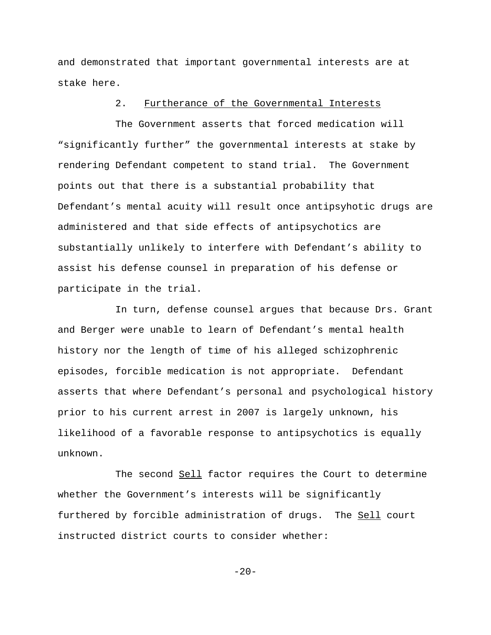and demonstrated that important governmental interests are at stake here.

### 2. Furtherance of the Governmental Interests

The Government asserts that forced medication will "significantly further" the governmental interests at stake by rendering Defendant competent to stand trial. The Government points out that there is a substantial probability that Defendant's mental acuity will result once antipsyhotic drugs are administered and that side effects of antipsychotics are substantially unlikely to interfere with Defendant's ability to assist his defense counsel in preparation of his defense or participate in the trial.

In turn, defense counsel argues that because Drs. Grant and Berger were unable to learn of Defendant's mental health history nor the length of time of his alleged schizophrenic episodes, forcible medication is not appropriate. Defendant asserts that where Defendant's personal and psychological history prior to his current arrest in 2007 is largely unknown, his likelihood of a favorable response to antipsychotics is equally unknown.

The second Sell factor requires the Court to determine whether the Government's interests will be significantly furthered by forcible administration of drugs. The Sell court instructed district courts to consider whether:

 $-20-$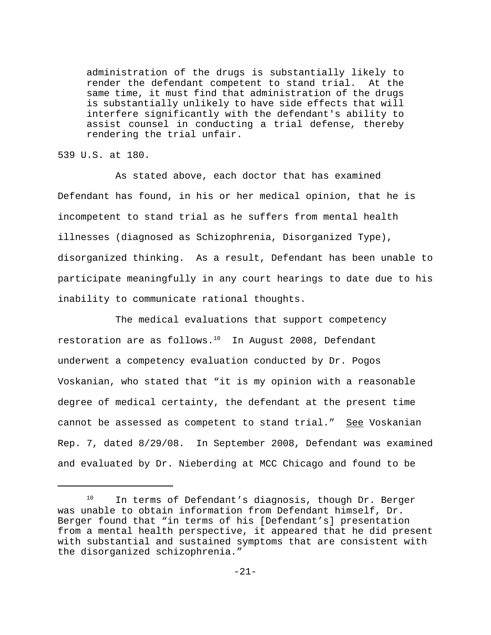administration of the drugs is substantially likely to render the defendant competent to stand trial. At the same time, it must find that administration of the drugs is substantially unlikely to have side effects that will interfere significantly with the defendant's ability to assist counsel in conducting a trial defense, thereby rendering the trial unfair.

539 U.S. at 180.

As stated above, each doctor that has examined Defendant has found, in his or her medical opinion, that he is incompetent to stand trial as he suffers from mental health illnesses (diagnosed as Schizophrenia, Disorganized Type), disorganized thinking. As a result, Defendant has been unable to participate meaningfully in any court hearings to date due to his inability to communicate rational thoughts.

The medical evaluations that support competency restoration are as follows. $10$  In August 2008, Defendant underwent a competency evaluation conducted by Dr. Pogos Voskanian, who stated that "it is my opinion with a reasonable degree of medical certainty, the defendant at the present time cannot be assessed as competent to stand trial." See Voskanian Rep. 7, dated 8/29/08. In September 2008, Defendant was examined and evaluated by Dr. Nieberding at MCC Chicago and found to be

<sup>&</sup>lt;sup>10</sup> In terms of Defendant's diagnosis, though Dr. Berger was unable to obtain information from Defendant himself, Dr. Berger found that "in terms of his [Defendant's] presentation from a mental health perspective, it appeared that he did present with substantial and sustained symptoms that are consistent with the disorganized schizophrenia."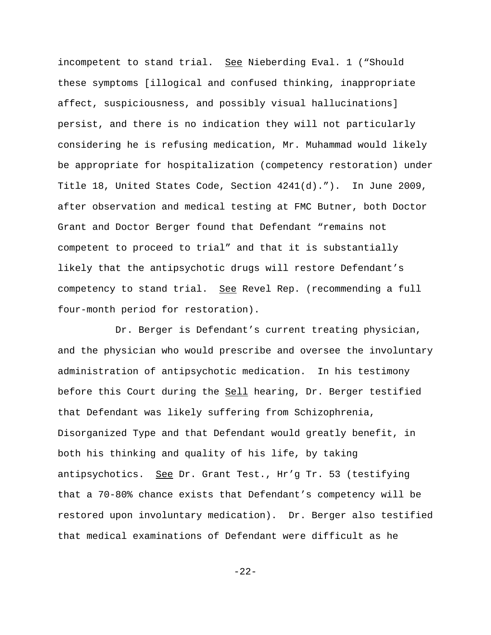incompetent to stand trial. See Nieberding Eval. 1 ("Should these symptoms [illogical and confused thinking, inappropriate affect, suspiciousness, and possibly visual hallucinations] persist, and there is no indication they will not particularly considering he is refusing medication, Mr. Muhammad would likely be appropriate for hospitalization (competency restoration) under Title 18, United States Code, Section 4241(d)."). In June 2009, after observation and medical testing at FMC Butner, both Doctor Grant and Doctor Berger found that Defendant "remains not competent to proceed to trial" and that it is substantially likely that the antipsychotic drugs will restore Defendant's competency to stand trial. See Revel Rep. (recommending a full four-month period for restoration).

Dr. Berger is Defendant's current treating physician, and the physician who would prescribe and oversee the involuntary administration of antipsychotic medication. In his testimony before this Court during the Sell hearing, Dr. Berger testified that Defendant was likely suffering from Schizophrenia, Disorganized Type and that Defendant would greatly benefit, in both his thinking and quality of his life, by taking antipsychotics. See Dr. Grant Test., Hr'g Tr. 53 (testifying that a 70-80% chance exists that Defendant's competency will be restored upon involuntary medication). Dr. Berger also testified that medical examinations of Defendant were difficult as he

-22-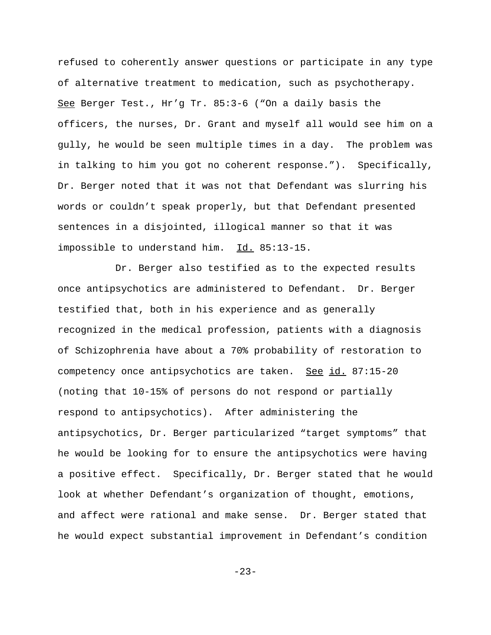refused to coherently answer questions or participate in any type of alternative treatment to medication, such as psychotherapy. See Berger Test., Hr'g Tr. 85:3-6 ("On a daily basis the officers, the nurses, Dr. Grant and myself all would see him on a gully, he would be seen multiple times in a day. The problem was in talking to him you got no coherent response."). Specifically, Dr. Berger noted that it was not that Defendant was slurring his words or couldn't speak properly, but that Defendant presented sentences in a disjointed, illogical manner so that it was impossible to understand him. Id. 85:13-15.

Dr. Berger also testified as to the expected results once antipsychotics are administered to Defendant. Dr. Berger testified that, both in his experience and as generally recognized in the medical profession, patients with a diagnosis of Schizophrenia have about a 70% probability of restoration to competency once antipsychotics are taken. See id. 87:15-20 (noting that 10-15% of persons do not respond or partially respond to antipsychotics). After administering the antipsychotics, Dr. Berger particularized "target symptoms" that he would be looking for to ensure the antipsychotics were having a positive effect. Specifically, Dr. Berger stated that he would look at whether Defendant's organization of thought, emotions, and affect were rational and make sense. Dr. Berger stated that he would expect substantial improvement in Defendant's condition

-23-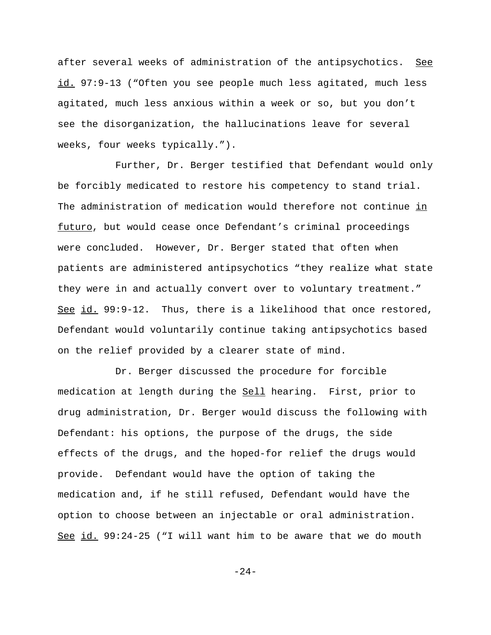after several weeks of administration of the antipsychotics. See id. 97:9-13 ("Often you see people much less agitated, much less agitated, much less anxious within a week or so, but you don't see the disorganization, the hallucinations leave for several weeks, four weeks typically.").

Further, Dr. Berger testified that Defendant would only be forcibly medicated to restore his competency to stand trial. The administration of medication would therefore not continue in futuro, but would cease once Defendant's criminal proceedings were concluded. However, Dr. Berger stated that often when patients are administered antipsychotics "they realize what state they were in and actually convert over to voluntary treatment." See id. 99:9-12. Thus, there is a likelihood that once restored, Defendant would voluntarily continue taking antipsychotics based on the relief provided by a clearer state of mind.

Dr. Berger discussed the procedure for forcible medication at length during the Sell hearing. First, prior to drug administration, Dr. Berger would discuss the following with Defendant: his options, the purpose of the drugs, the side effects of the drugs, and the hoped-for relief the drugs would provide. Defendant would have the option of taking the medication and, if he still refused, Defendant would have the option to choose between an injectable or oral administration. See id. 99:24-25 ("I will want him to be aware that we do mouth

-24-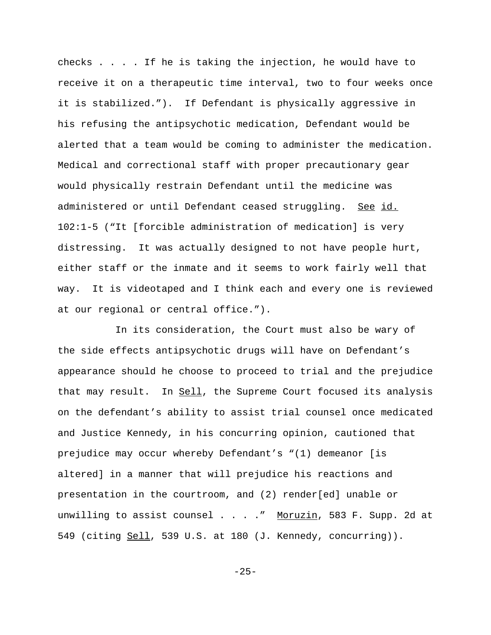checks . . . . If he is taking the injection, he would have to receive it on a therapeutic time interval, two to four weeks once it is stabilized."). If Defendant is physically aggressive in his refusing the antipsychotic medication, Defendant would be alerted that a team would be coming to administer the medication. Medical and correctional staff with proper precautionary gear would physically restrain Defendant until the medicine was administered or until Defendant ceased struggling. See id. 102:1-5 ("It [forcible administration of medication] is very distressing. It was actually designed to not have people hurt, either staff or the inmate and it seems to work fairly well that way. It is videotaped and I think each and every one is reviewed at our regional or central office.").

In its consideration, the Court must also be wary of the side effects antipsychotic drugs will have on Defendant's appearance should he choose to proceed to trial and the prejudice that may result. In Sell, the Supreme Court focused its analysis on the defendant's ability to assist trial counsel once medicated and Justice Kennedy, in his concurring opinion, cautioned that prejudice may occur whereby Defendant's "(1) demeanor [is altered] in a manner that will prejudice his reactions and presentation in the courtroom, and (2) render[ed] unable or unwilling to assist counsel . . . . " Moruzin, 583 F. Supp. 2d at 549 (citing Sell, 539 U.S. at 180 (J. Kennedy, concurring)).

-25-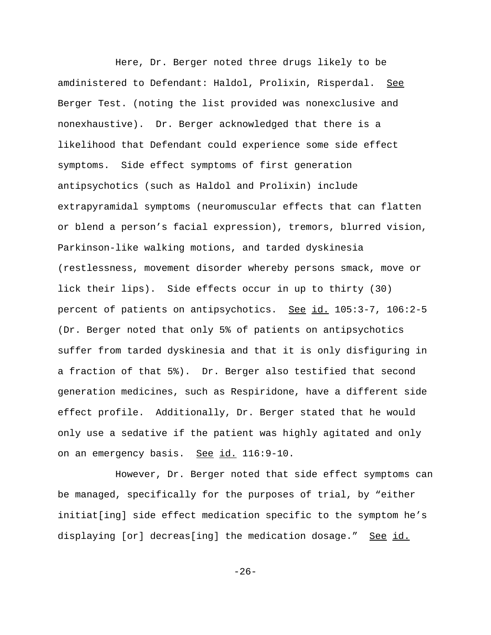Here, Dr. Berger noted three drugs likely to be amdinistered to Defendant: Haldol, Prolixin, Risperdal. See Berger Test. (noting the list provided was nonexclusive and nonexhaustive). Dr. Berger acknowledged that there is a likelihood that Defendant could experience some side effect symptoms. Side effect symptoms of first generation antipsychotics (such as Haldol and Prolixin) include extrapyramidal symptoms (neuromuscular effects that can flatten or blend a person's facial expression), tremors, blurred vision, Parkinson-like walking motions, and tarded dyskinesia (restlessness, movement disorder whereby persons smack, move or lick their lips). Side effects occur in up to thirty (30) percent of patients on antipsychotics. See id. 105:3-7, 106:2-5 (Dr. Berger noted that only 5% of patients on antipsychotics suffer from tarded dyskinesia and that it is only disfiguring in a fraction of that 5%). Dr. Berger also testified that second generation medicines, such as Respiridone, have a different side effect profile. Additionally, Dr. Berger stated that he would only use a sedative if the patient was highly agitated and only on an emergency basis. See id. 116:9-10.

However, Dr. Berger noted that side effect symptoms can be managed, specifically for the purposes of trial, by "either initiat[ing] side effect medication specific to the symptom he's displaying [or] decreas[ing] the medication dosage." See id.

-26-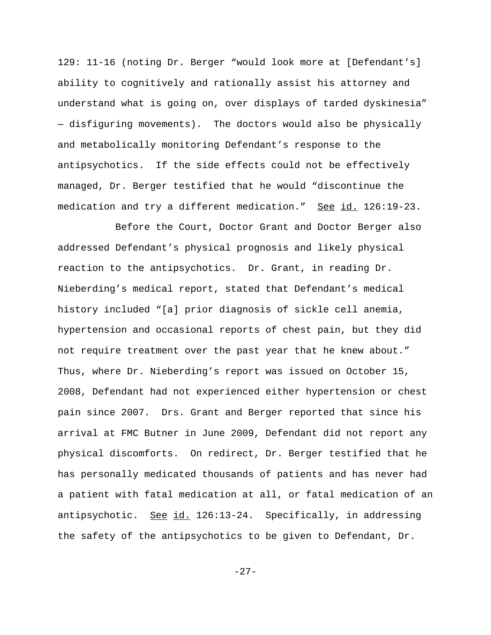129: 11-16 (noting Dr. Berger "would look more at [Defendant's] ability to cognitively and rationally assist his attorney and understand what is going on, over displays of tarded dyskinesia" — disfiguring movements). The doctors would also be physically and metabolically monitoring Defendant's response to the antipsychotics. If the side effects could not be effectively managed, Dr. Berger testified that he would "discontinue the medication and try a different medication." See id. 126:19-23.

Before the Court, Doctor Grant and Doctor Berger also addressed Defendant's physical prognosis and likely physical reaction to the antipsychotics. Dr. Grant, in reading Dr. Nieberding's medical report, stated that Defendant's medical history included "[a] prior diagnosis of sickle cell anemia, hypertension and occasional reports of chest pain, but they did not require treatment over the past year that he knew about." Thus, where Dr. Nieberding's report was issued on October 15, 2008, Defendant had not experienced either hypertension or chest pain since 2007. Drs. Grant and Berger reported that since his arrival at FMC Butner in June 2009, Defendant did not report any physical discomforts. On redirect, Dr. Berger testified that he has personally medicated thousands of patients and has never had a patient with fatal medication at all, or fatal medication of an antipsychotic. See id. 126:13-24. Specifically, in addressing the safety of the antipsychotics to be given to Defendant, Dr.

-27-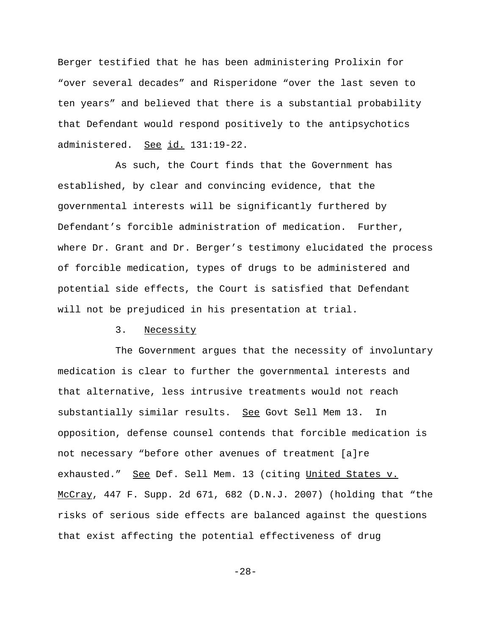Berger testified that he has been administering Prolixin for "over several decades" and Risperidone "over the last seven to ten years" and believed that there is a substantial probability that Defendant would respond positively to the antipsychotics administered. See id. 131:19-22.

As such, the Court finds that the Government has established, by clear and convincing evidence, that the governmental interests will be significantly furthered by Defendant's forcible administration of medication. Further, where Dr. Grant and Dr. Berger's testimony elucidated the process of forcible medication, types of drugs to be administered and potential side effects, the Court is satisfied that Defendant will not be prejudiced in his presentation at trial.

# 3. Necessity

The Government argues that the necessity of involuntary medication is clear to further the governmental interests and that alternative, less intrusive treatments would not reach substantially similar results. See Govt Sell Mem 13. In opposition, defense counsel contends that forcible medication is not necessary "before other avenues of treatment [a]re exhausted." See Def. Sell Mem. 13 (citing United States v. McCray, 447 F. Supp. 2d 671, 682 (D.N.J. 2007) (holding that "the risks of serious side effects are balanced against the questions that exist affecting the potential effectiveness of drug

-28-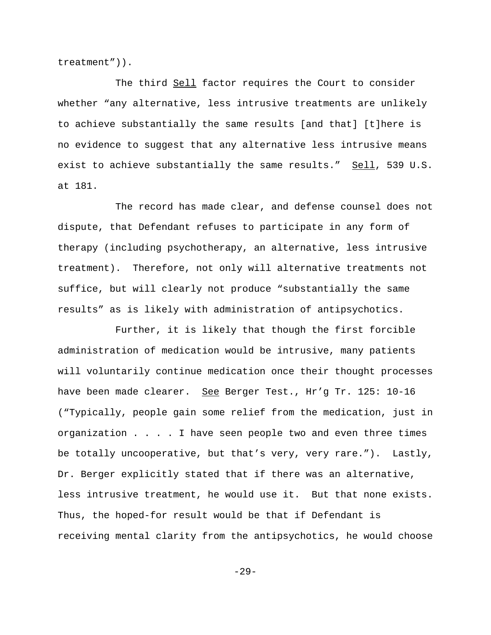treatment")).

The third Sell factor requires the Court to consider whether "any alternative, less intrusive treatments are unlikely to achieve substantially the same results [and that] [t]here is no evidence to suggest that any alternative less intrusive means exist to achieve substantially the same results." Sell, 539 U.S. at 181.

The record has made clear, and defense counsel does not dispute, that Defendant refuses to participate in any form of therapy (including psychotherapy, an alternative, less intrusive treatment). Therefore, not only will alternative treatments not suffice, but will clearly not produce "substantially the same results" as is likely with administration of antipsychotics.

Further, it is likely that though the first forcible administration of medication would be intrusive, many patients will voluntarily continue medication once their thought processes have been made clearer. See Berger Test., Hr'g Tr. 125: 10-16 ("Typically, people gain some relief from the medication, just in organization . . . . I have seen people two and even three times be totally uncooperative, but that's very, very rare."). Lastly, Dr. Berger explicitly stated that if there was an alternative, less intrusive treatment, he would use it. But that none exists. Thus, the hoped-for result would be that if Defendant is receiving mental clarity from the antipsychotics, he would choose

-29-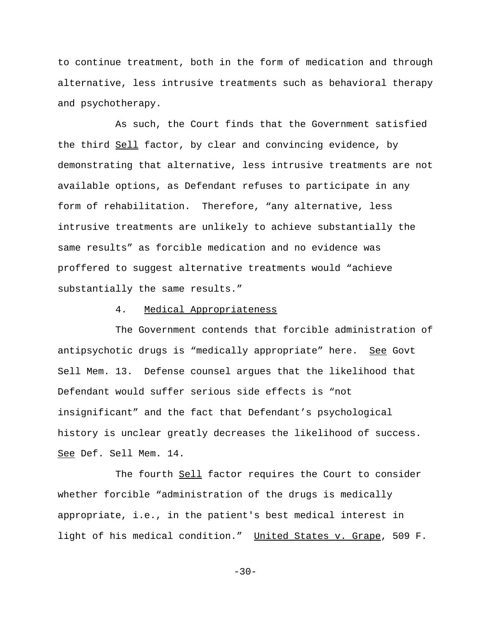to continue treatment, both in the form of medication and through alternative, less intrusive treatments such as behavioral therapy and psychotherapy.

As such, the Court finds that the Government satisfied the third Sell factor, by clear and convincing evidence, by demonstrating that alternative, less intrusive treatments are not available options, as Defendant refuses to participate in any form of rehabilitation. Therefore, "any alternative, less intrusive treatments are unlikely to achieve substantially the same results" as forcible medication and no evidence was proffered to suggest alternative treatments would "achieve substantially the same results."

# 4. Medical Appropriateness

The Government contends that forcible administration of antipsychotic drugs is "medically appropriate" here. See Govt Sell Mem. 13. Defense counsel argues that the likelihood that Defendant would suffer serious side effects is "not insignificant" and the fact that Defendant's psychological history is unclear greatly decreases the likelihood of success. See Def. Sell Mem. 14.

The fourth Sell factor requires the Court to consider whether forcible "administration of the drugs is medically appropriate, i.e., in the patient's best medical interest in light of his medical condition." United States v. Grape, 509 F.

 $-30-$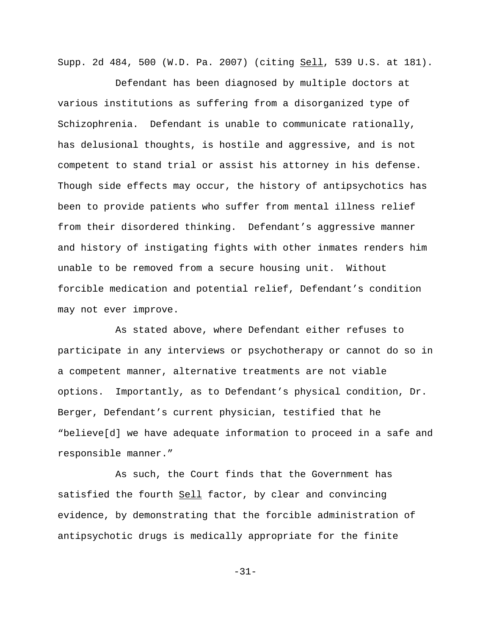Supp. 2d 484, 500 (W.D. Pa. 2007) (citing Sell, 539 U.S. at 181).

Defendant has been diagnosed by multiple doctors at various institutions as suffering from a disorganized type of Schizophrenia. Defendant is unable to communicate rationally, has delusional thoughts, is hostile and aggressive, and is not competent to stand trial or assist his attorney in his defense. Though side effects may occur, the history of antipsychotics has been to provide patients who suffer from mental illness relief from their disordered thinking. Defendant's aggressive manner and history of instigating fights with other inmates renders him unable to be removed from a secure housing unit. Without forcible medication and potential relief, Defendant's condition may not ever improve.

As stated above, where Defendant either refuses to participate in any interviews or psychotherapy or cannot do so in a competent manner, alternative treatments are not viable options. Importantly, as to Defendant's physical condition, Dr. Berger, Defendant's current physician, testified that he "believe[d] we have adequate information to proceed in a safe and responsible manner."

As such, the Court finds that the Government has satisfied the fourth Sell factor, by clear and convincing evidence, by demonstrating that the forcible administration of antipsychotic drugs is medically appropriate for the finite

-31-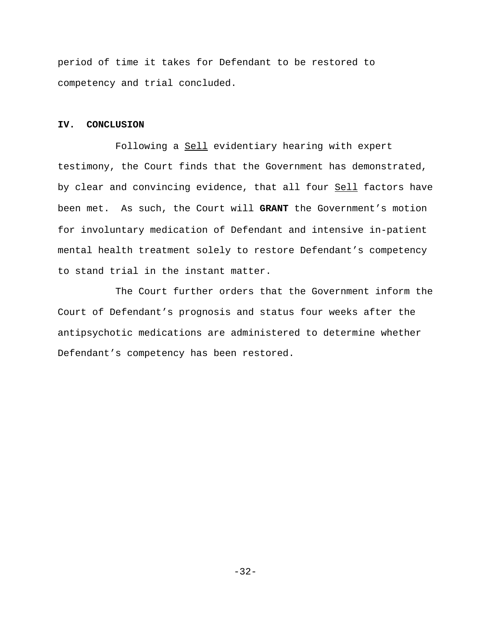period of time it takes for Defendant to be restored to competency and trial concluded.

### **IV. CONCLUSION**

Following a Sell evidentiary hearing with expert testimony, the Court finds that the Government has demonstrated, by clear and convincing evidence, that all four Sell factors have been met. As such, the Court will **GRANT** the Government's motion for involuntary medication of Defendant and intensive in-patient mental health treatment solely to restore Defendant's competency to stand trial in the instant matter.

The Court further orders that the Government inform the Court of Defendant's prognosis and status four weeks after the antipsychotic medications are administered to determine whether Defendant's competency has been restored.